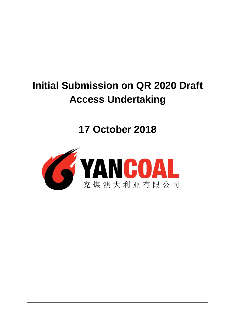# **Initial Submission on QR 2020 Draft Access Undertaking**

**17 October 2018**

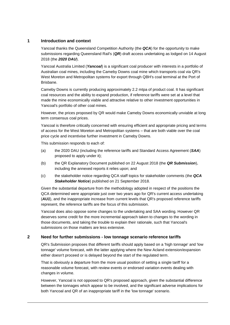# **1 Introduction and context**

Yancoal thanks the Queensland Competition Authority (the *QCA*) for the opportunity to make submissions regarding Queensland Rail's (*QR*) draft access undertaking as lodged on 14 August 2018 (the *2020 DAU*).

Yancoal Australia Limited (*Yancoal*) is a significant coal producer with interests in a portfolio of Australian coal mines, including the Cameby Downs coal mine which transports coal via QR's West Moreton and Metropolitan systems for export through QBH's coal terminal at the Port of Brisbane.

Cameby Downs is currently producing approximately 2.2 mtpa of product coal. It has significant coal resources and the ability to expand production, if reference tariffs were set at a level that made the mine economically viable and attractive relative to other investment opportunities in Yancoal's portfolio of other coal mines.

However, the prices proposed by QR would make Cameby Downs economically unviable at long term consensus coal prices.

Yancoal is therefore critically concerned with ensuring efficient and appropriate pricing and terms of access for the West Moreton and Metropolitan systems – that are both viable over the coal price cycle and incentivise further investment in Cameby Downs.

This submission responds to each of:

- (a) the 2020 DAU (including the reference tariffs and Standard Access Agreement (*SAA*) proposed to apply under it);
- (b) the QR Explanatory Document published on 22 August 2018 (the *QR Submission*), including the annexed reports it relies upon; and
- (c) the stakeholder notice regarding QCA staff topics for stakeholder comments (the *QCA Stakeholder Notice*) published on 21 September 2018.

Given the substantial departure from the methodology adopted in respect of the positions the QCA determined were appropriate just over two years ago for QR's current access undertaking (*AU1*), and the inappropriate increase from current levels that QR's proposed reference tariffs represent, the reference tariffs are the focus of this submission.

Yancoal does also oppose some changes to the undertaking and SAA wording. However QR deserves some credit for the more incremental approach taken to changes to the wording in those documents, and taking the trouble to explain their rationale, such that Yancoal's submissions on those matters are less extensive.

# **2 Need for further submissions - low tonnage scenario reference tariffs**

QR's Submission proposes that different tariffs should apply based on a 'high tonnage' and 'low tonnage' volume forecast, with the latter applying where the New Acland extension/expansion either doesn't proceed or is delayed beyond the start of the regulated term.

That is obviously a departure from the more usual position of setting a single tariff for a reasonable volume forecast, with review events or endorsed variation events dealing with changes in volume.

However, Yancoal is not opposed to QR's proposed approach, given the substantial difference between the tonnages which appear to be involved, and the significant adverse implications for both Yancoal and QR of an inappropriate tariff in the 'low tonnage' scenario.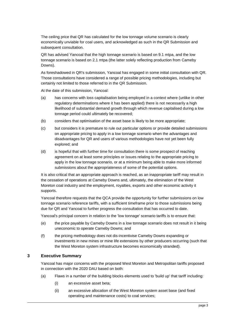The ceiling price that QR has calculated for the low tonnage volume scenario is clearly economically unviable for coal users, and acknowledged as such in the QR Submission and subsequent consultation.

QR has advised Yancoal that the high tonnage scenario is based on 9.1 mtpa, and the low tonnage scenario is based on 2.1 mtpa (the latter solely reflecting production from Cameby Downs).

As foreshadowed in QR's submission, Yancoal has engaged in some initial consultation with QR. Those consultations have considered a range of possible pricing methodologies, including but certainly not limited to those referred to in the QR Submission.

At the date of this submission, Yancoal:

- (a) has concerns with loss capitalisation being employed in a context where (unlike in other regulatory determinations where it has been applied) there is not necessarily a high likelihood of substantial demand growth through which revenue capitalised during a low tonnage period could ultimately be recovered;
- (b) considers that optimisation of the asset base is likely to be more appropriate;
- (c) but considers it is premature to rule out particular options or provide detailed submissions on appropriate pricing to apply in a low tonnage scenario when the advantages and disadvantages for QR and users of various methodologies have not yet been fully explored; and
- (d) is hopeful that with further time for consultation there is some prospect of reaching agreement on at least some principles or issues relating to the appropriate pricing to apply in the low tonnage scenario, or at a minimum being able to make more informed submissions about the appropriateness of some of the potential options.

It is also critical that an appropriate approach is reached, as an inappropriate tariff may result in the cessation of operations at Cameby Downs and, ultimately, the elimination of the West Moreton coal industry and the employment, royalties, exports and other economic activity it supports.

Yancoal therefore requests that the QCA provide the opportunity for further submissions on low tonnage scenario reference tariffs, with a sufficient timeframe prior to those submissions being due for QR and Yancoal to further progress the consultation that has occurred to date.

Yancoal's principal concern in relation to the 'low tonnage' scenario tariffs is to ensure that:

- (e) the price payable by Cameby Downs in a low tonnage scenario does not result in it being uneconomic to operate Cameby Downs; and
- (f) the pricing methodology does not dis-incentivise Cameby Downs expanding or investments in new mines or mine life extensions by other producers occurring (such that the West Moreton system infrastructure becomes economically stranded).

#### **3 Executive Summary**

Yancoal has major concerns with the proposed West Moreton and Metropolitan tariffs proposed in connection with the 2020 DAU based on both:

- (a) Flaws in a number of the building blocks elements used to 'build up' that tariff including:
	- (i) an excessive asset beta;
	- (ii) an excessive allocation of the West Moreton system asset base (and fixed operating and maintenance costs) to coal services;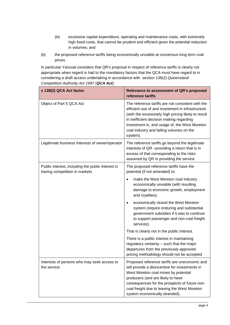- (iii) excessive capital expenditure, operating and maintenance costs, with extremely high fixed costs, that cannot be prudent and efficient given the potential reduction in volumes; and
- (b) the proposed reference tariffs being economically unviable at consensus long term coal prices.

In particular Yancoal considers that QR's proposal in respect of reference tariffs is clearly not appropriate when regard is had to the mandatory factors that the QCA must have regard to in considering a draft access undertaking in accordance with section 138(2) *Queensland Competition Authority Act 1997* (*QCA Act*):

| s 138(2) QCA Act factor                                                            | Relevance to assessment of QR's proposed<br>reference tariffs                                                                                                                                                                                                                                                      |
|------------------------------------------------------------------------------------|--------------------------------------------------------------------------------------------------------------------------------------------------------------------------------------------------------------------------------------------------------------------------------------------------------------------|
| Object of Part 5 QCA Act                                                           | The reference tariffs are not consistent with the<br>efficient use of and investment in infrastructure<br>(with the excessively high pricing likely to result<br>in inefficient decision making regarding<br>investment in, and usage of, the West Moreton<br>coal industry and falling volumes on the<br>system). |
| Legitimate business interests of owner/operator                                    | The reference tariffs go beyond the legitimate<br>interests of QR -providing a return that is in<br>excess of that corresponding to the risks<br>assumed by QR in providing the service                                                                                                                            |
| Public interest, including the public interest in<br>having competition in markets | The proposed reference tariffs have the<br>potential (if not amended) to:                                                                                                                                                                                                                                          |
|                                                                                    | make the West Moreton coal industry<br>economically unviable (with resulting<br>damage to economic growth, employment<br>and royalties);                                                                                                                                                                           |
|                                                                                    | economically strand the West Moreton<br>system (require enduring and substantial<br>government subsidies if it was to continue<br>to support passenger and non-coal freight<br>services).                                                                                                                          |
|                                                                                    | That is clearly not in the public interest.                                                                                                                                                                                                                                                                        |
|                                                                                    | There is a public interest in maintaining<br>regulatory certainty - such that the major<br>departures from the previously approved<br>pricing methodology should not be accepted                                                                                                                                   |
| Interests of persons who may seek access to<br>the service                         | Proposed reference tariffs are uneconomic and<br>will provide a disincentive for investments in<br>West Moreton coal mines by potential<br>producers (and are likely to have<br>consequences for the prospects of future non-<br>coal freight due to leaving the West Moreton<br>system economically stranded).    |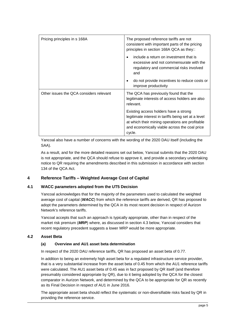| Pricing principles in s 168A            | The proposed reference tariffs are not<br>consistent with important parts of the pricing<br>principles in section 168A QCA as they::                                                                       |
|-----------------------------------------|------------------------------------------------------------------------------------------------------------------------------------------------------------------------------------------------------------|
|                                         | include a return on investment that is<br>$\bullet$<br>excessive and not commensurate with the<br>regulatory and commercial risks involved<br>and                                                          |
|                                         | do not provide incentives to reduce costs or<br>٠<br>improve productivity                                                                                                                                  |
| Other issues the QCA considers relevant | The QCA has previously found that the<br>legitimate interests of access holders are also<br>relevant.                                                                                                      |
|                                         | Existing access holders have a strong<br>legitimate interest in tariffs being set at a level<br>at which their mining operations are profitable<br>and economically viable across the coal price<br>cycle. |

Yancoal also have a number of concerns with the wording of the 2020 DAU itself (including the SAA).

As a result, and for the more detailed reasons set out below, Yancoal submits that the 2020 DAU is not appropriate, and the QCA should refuse to approve it, and provide a secondary undertaking notice to QR requiring the amendments described in this submission in accordance with section 134 of the QCA Act.

# <span id="page-4-0"></span>**4 Reference Tariffs – Weighted Average Cost of Capital**

# **4.1 WACC parameters adopted from the UT5 Decision**

Yancoal acknowledges that for the majority of the parameters used to calculated the weighted average cost of capital (*WACC*) from which the reference tariffs are derived, QR has proposed to adopt the parameters determined by the QCA in its most recent decision in respect of Aurizon Network's reference tariffs.

Yancoal accepts that such an approach is typically appropriate, other than in respect of the market risk premium (*MRP*) where, as discussed in section [4.3](#page-10-0) below, Yancoal considers that recent regulatory precedent suggests a lower MRP would be more appropriate.

# **4.2 Asset Beta**

# **(a) Overview and AU1 asset beta determination**

In respect of the 2020 DAU reference tariffs, QR has proposed an asset beta of 0.77.

In addition to being an extremely high asset beta for a regulated infrastructure service provider, that is a very substantial increase from the asset beta of 0.45 from which the AU1 reference tariffs were calculated. The AU1 asset beta of 0.45 was in fact proposed by QR itself (and therefore presumably considered appropriate by QR), due to it being adopted by the QCA for the closest comparator in Aurizon Network, and determined by the QCA to be appropriate for QR as recently as its Final Decision in respect of AU1 in June 2016.

The appropriate asset beta should reflect the systematic or non-diversifiable risks faced by QR in providing the reference service.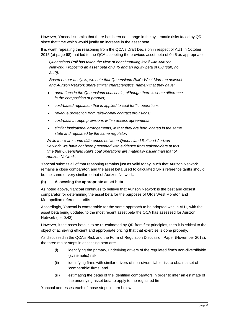However, Yancoal submits that there has been no change in the systematic risks faced by QR since that time which would justify an increase in the asset beta.

It is worth repeating the reasoning from the QCA's Draft Decision in respect of AU1 in October 2015 (at page 68) that led to the QCA accepting the previous asset beta of 0.45 as appropriate:

*Queensland Rail has taken the view of benchmarking itself with Aurizon Network. Proposing an asset beta of 0.45 and an equity beta of 0.8 (sub, no. 2:40).*

*Based on our analysis, we note that Queensland Rail's West Moreton network and Aurizon Network share similar characteristics, namely that they have:*

- *operations in the Queensland coal chain, although there is some difference in the composition of product;*
- *cost-based regulation that is applied to coal traffic operations;*
- *revenue protection from take-or-pay contract provisions;*
- *cost-pass through provisions within access agreements*
- *similar institutional arrangements, in that they are both located in the same state and regulated by the same regulator.*

*While there are some differences between Queensland Rail and Aurizon Network, we have not been presented with evidence from stakeholders at this time that Queensland Rail's coal operations are materially riskier than that of Aurizon Network.*

Yancoal submits all of that reasoning remains just as valid today, such that Aurizon Network remains a close comparator, and the asset beta used to calculated QR's reference tariffs should be the same or very similar to that of Aurizon Network.

# **(b) Assessing the appropriate asset beta**

As noted above, Yancoal continues to believe that Aurizon Network is the best and closest comparator for determining the asset beta for the purposes of QR's West Moreton and Metropolitan reference tariffs.

Accordingly, Yancoal is comfortable for the same approach to be adopted was in AU1, with the asset beta being updated to the most recent asset beta the QCA has assessed for Aurizon Network (i.e. 0.42).

However, if the asset beta is to be re-estimated by QR from first principles, then it is critical to the object of achieving efficient and appropriate pricing that that exercise is done properly.

As discussed in the QCA's Risk and the Form of Regulation Discussion Paper (November 2012), the three major steps in assessing beta are:

- (i) identifying the primary, underlying drivers of the regulated firm's non-diversifiable (systematic) risk;
- (ii) identifying firms with similar drivers of non-diversifiable risk to obtain a set of 'comparable' firms; and
- (iii) estimating the betas of the identified comparators in order to infer an estimate of the underlying asset beta to apply to the regulated firm.

Yancoal addresses each of those steps in turn below.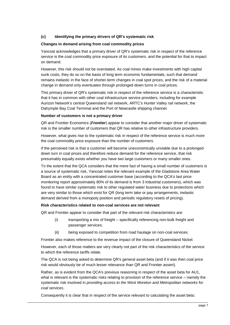## **(c) Identifying the primary drivers of QR's systematic risk**

#### **Changes in demand arising from coal commodity prices**

Yancoal acknowledges that a primary driver of QR's systematic risk in respect of the reference service is the coal commodity price exposure of its customers, and the potential for that to impact on demand.

However, this risk should not be overstated. As coal mines make investments with high capital sunk costs, they do so on the basis of long term economic fundamentals, such that demand remains inelastic in the face of shorter-term changes in coal spot prices, and the risk of a material change in demand only eventuates through prolonged down turns in coal prices.

This primary driver of QR's systematic risk in respect of the reference service is a characteristic that it has in common with other coal infrastructure service providers, including for example Aurizon Network's central Queensland rail network, ARTC's Hunter Valley rail network, the Dalrymple Bay Coal Terminal and the Port of Newcastle shipping channel.

#### **Number of customers is not a primary driver**

QR and Frontier Economics (*Frontier*) appear to consider that another major driver of systematic risk is the smaller number of customers that QR has relative to other infrastructure providers.

However, what gives rise to the systematic risk in respect of the reference service is much more the coal commodity price exposure than the number of customers.

If the perceived risk is that a customer will become uneconomically unviable due to a prolonged down turn in coal prices and therefore reduce demand for the reference service, that risk presumably equally exists whether you have two large customers or many smaller ones.

To the extent that the QCA considers that the mere fact of having a small number of customers is a source of systematic risk, Yancoal notes the relevant example of the Gladstone Area Water Board as an entity with a concentrated customer base (according to the QCA's last price monitoring report approximately 80% of its demand is from 3 industrial customers), which was found to have similar systematic risk to other regulated water business due to protections which are very similar to those which exist for QR (long term take or pay arrangements, inelastic demand derived from a monopoly position and periodic regulatory resets of pricing).

#### **Risk characteristics related to non-coal services are not relevant**

QR and Frontier appear to consider that part of the relevant risk characteristics are:

- (i) transporting a mix of freight specifically referencing non-bulk freight and passenger services;
- (ii) being exposed to competition from road haulage on non-coal services.

Frontier also makes reference to the revenue impact of the closure of Queensland Nickel.

However, each of those matters are very clearly not part of the risk characteristics of the service to which the reference tariffs relate.

The QCA is not being asked to determine QR's general asset beta (and if it was then coal price risk would obviously be of much lesser relevance than QR and Frontier assert).

Rather, as is evident from the QCA's previous reasoning in respect of the asset beta for AU1, what is relevant is the systematic risks relating to provision of the reference service – namely the systematic risk involved in *providing access to the West Moreton and Metropolitan networks for coal services*.

Consequently it is clear that in respect of the service relevant to calculating the asset beta: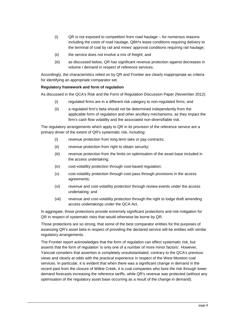- (i) QR is not exposed to competition from road haulage for numerous reasons including the costs of road haulage, QBH's lease conditions requiring delivery to the terminal of coal by rail and mines' approval conditions requiring rail haulage;
- (ii) the service does not involve a mix of freight; and
- (iii) as discussed below, QR has significant revenue protection against decreases in volume / demand in respect of reference services.

Accordingly, the characteristics relied on by QR and Frontier are clearly inappropriate as criteria for identifying an appropriate comparator set.

## **Regulatory framework and form of regulation**

As discussed in the QCA's Risk and the Form of Regulation Discussion Paper (November 2012):

- (i) regulated firms are in a different risk category to non-regulated firms; and
- (ii) a regulated firm's beta should not be determined independently from the applicable form of regulation and other ancillary mechanisms, as they impact the firm's cash flow volatility and the associated non-diversifiable risk.

The regulatory arrangements which apply to QR in its provision of the reference service are a primary driver of the extent of QR's systematic risk, including:

- (i) revenue protection from long term take or pay contracts;
- (ii) revenue protection from right to obtain security;
- (iii) revenue protection from the limits on optimisation of the asset base included in the access undertaking;
- (iv) cost-volatility protection through cost-based regulation;
- (v) cost-volatility protection through cost-pass through provisions in the access agreements;
- (vi) revenue and cost-volatility protection through review events under the access undertaking; and
- (vii) revenue and cost-volatility protection through the right to lodge draft amending access undertakings under the QCA Act.

In aggregate, those protections provide extremely significant protections and risk-mitigation for QR in respect of systematic risks that would otherwise be borne by QR.

Those protections are so strong, that some of the best comparator entities for the purposes of assessing QR's asset beta in respect of providing the declared service will be entities with similar regulatory arrangements.

The Frontier report acknowledges that the form of regulation can effect systematic risk, but asserts that the form of regulation 'is only one of a number of more minor factors'. However, Yancoal considers that assertion is completely unsubstantiated, contrary to the QCA's previous views and clearly at odds with the practical experience in respect of the West Moreton coal services. In particular, it is evident that when there was a significant change in demand in the recent past from the closure of Wilkie Creek, it is coal companies who bore the risk through lower demand forecasts increasing the reference tariffs, while QR's revenue was protected (without any optimisation of the regulatory asset base occurring as a result of the change in demand).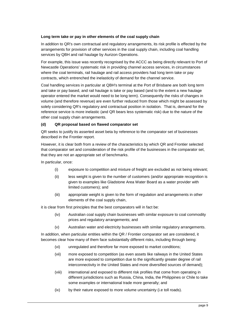## **Long term take or pay in other elements of the coal supply chain**

In addition to QR's own contractual and regulatory arrangements, its risk profile is effected by the arrangements for provision of other services in the coal supply chain, including coal handling services by QBH and rail haulage by Aurizon Operations.

For example, this issue was recently recognised by the ACCC as being directly relevant to Port of Newcastle Operations' systematic risk in providing channel access services, in circumstances where the coal terminals, rail haulage and rail access providers had long term take or pay contracts, which entrenched the inelasticity of demand for the channel service.

Coal handling services in particular at QBH's terminal at the Port of Brisbane are both long term and take or pay based, and rail haulage is take or pay based (and to the extent a new haulage operator entered the market would need to be long term). Consequently the risks of changes in volume (and therefore revenue) are even further reduced from those which might be assessed by solely considering QR's regulatory and contractual position in isolation. That is, demand for the reference service is more inelastic (and QR bears less systematic risk) due to the nature of the other coal supply chain arrangements.

## **(d) QR proposal based on flawed comparator set**

QR seeks to justify its asserted asset beta by reference to the comparator set of businesses described in the Frontier report.

However, it is clear both from a review of the characteristics by which QR and Frontier selected that comparator set and consideration of the risk profile of the businesses in the comparator set, that they are not an appropriate set of benchmarks.

In particular, once:

- (i) exposure to competition and mixture of freight are excluded as not being relevant;
- (ii) less weight is given to the number of customers (and/or appropriate recognition is given to examples like Gladstone Area Water Board as a water provider with limited customers); and
- (iii) appropriate weight is given to the form of regulation and arrangements in other elements of the coal supply chain,

it is clear from first principles that the best comparators will in fact be:

- (iv) Australian coal supply chain businesses with similar exposure to coal commodity prices and regulatory arrangements; and
- (v) Australian water and electricity businesses with similar regulatory arrangements.

In addition, when particular entities within the QR / Frontier comparator set are considered, it becomes clear how many of them face substantially different risks, including through being:

- (vi) unregulated and therefore far more exposed to market conditions;
- (vii) more exposed to competition (as even assets like railways in the United States are more exposed to competition due to the significantly greater degree of rail interconnectivity in the United States and more diversified sources of demand);
- (viii) international and exposed to different risk profiles that come from operating in different jurisdictions such as Russia, China, India, the Philippines or Chile to take some examples or international trade more generally; and
- (ix) by their nature exposed to more volume uncertainty (i.e toll roads).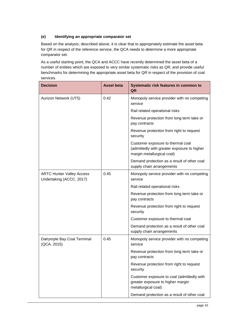# **(e) Identifying an appropriate comparator set**

Based on the analysis, described above, it is clear that to appropriately estimate the asset beta for QR in respect of the reference service, the QCA needs to determine a more appropriate comparator set.

As a useful starting point, the QCA and ACCC have recently determined the asset beta of a number of entities which are exposed to very similar systematic risks as QR, and provide useful benchmarks for determining the appropriate asset beta for QR in respect of the provision of coal services.

| <b>Decision</b>                                              | <b>Asset beta</b> | Systematic risk features in common to<br>QR                                                                    |
|--------------------------------------------------------------|-------------------|----------------------------------------------------------------------------------------------------------------|
| Aurizon Network (UT5)                                        | 0.42              | Monopoly service provider with no competing<br>service                                                         |
|                                                              |                   | Rail related operational risks                                                                                 |
|                                                              |                   | Revenue protection from long term take or<br>pay contracts                                                     |
|                                                              |                   | Revenue protection from right to request<br>security                                                           |
|                                                              |                   | Customer exposure to thermal coal<br>(admittedly with greater exposure to higher<br>margin metallurgical coal) |
|                                                              |                   | Demand protection as a result of other coal<br>supply chain arrangements                                       |
| <b>ARTC Hunter Valley Access</b><br>Undertaking (ACCC, 2017) | 0.45              | Monopoly service provider with no competing<br>service                                                         |
|                                                              |                   | Rail related operational risks                                                                                 |
|                                                              |                   | Revenue protection from long term take or<br>pay contracts                                                     |
|                                                              |                   | Revenue protection from right to request<br>security                                                           |
|                                                              |                   | Customer exposure to thermal coal                                                                              |
|                                                              |                   | Demand protection as a result of other coal<br>supply chain arrangements                                       |
| Dalrymple Bay Coal Terminal<br>(QCA, 2015)                   | 0.45              | Monopoly service provider with no competing<br>service                                                         |
|                                                              |                   | Revenue protection from long term take or<br>pay contracts                                                     |
|                                                              |                   | Revenue protection from right to request<br>security                                                           |
|                                                              |                   | Customer exposure to coal (admittedly with<br>greater exposure to higher margin<br>metallurgical coal)         |
|                                                              |                   | Demand protection as a result of other coal                                                                    |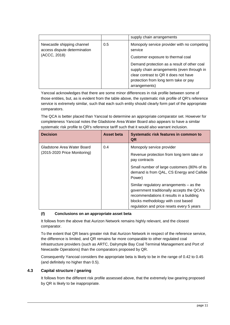|                                                                            |     | supply chain arrangements                                                                                                                                                                                                                                                                   |
|----------------------------------------------------------------------------|-----|---------------------------------------------------------------------------------------------------------------------------------------------------------------------------------------------------------------------------------------------------------------------------------------------|
| Newcastle shipping channel<br>access dispute determination<br>(ACCC, 2018) | 0.5 | Monopoly service provider with no competing<br>service<br>Customer exposure to thermal coal<br>Demand protection as a result of other coal<br>supply chain arrangements (even through in<br>clear contrast to QR it does not have<br>protection from long term take or pay<br>arrangements) |

Yancoal acknowledges that there are some minor differences in risk profile between some of those entities, but, as is evident from the table above, the systematic risk profile of QR's reference service is extremely similar, such that each such entity should clearly form part of the appropriate comparators.

The QCA is better placed than Yancoal to determine an appropriate comparator set. However for completeness Yancoal notes the Gladstone Area Water Board also appears to have a similar systematic risk profile to QR's reference tariff such that it would also warrant inclusion.

| <b>Decision</b>                                            | Asset beta | Systematic risk features in common to<br>QR                                                                                                                                                                           |
|------------------------------------------------------------|------------|-----------------------------------------------------------------------------------------------------------------------------------------------------------------------------------------------------------------------|
| Gladstone Area Water Board<br>(2015-2020 Price Monitoring) | 0.4        | Monopoly service provider<br>Revenue protection from long term take or<br>pay contracts<br>Small number of large customers (80% of its<br>demand is from QAL, CS Energy and Callide<br>Power)                         |
|                                                            |            | Similar regulatory arrangements – as the<br>government traditionally accepts the QCA's<br>recommendations it results in a building<br>blocks methodology with cost based<br>regulation and price resets every 5 years |

# **(f) Conclusions on an appropriate asset beta**

It follows from the above that Aurizon Network remains highly relevant, and the closest comparator.

To the extent that QR bears greater risk that Aurizon Network in respect of the reference service, the difference is limited, and QR remains far more comparable to other regulated coal infrastructure providers (such as ARTC, Dalrymple Bay Coal Terminal Management and Port of Newcastle Operations) than the comparators proposed by QR.

Consequently Yancoal considers the appropriate beta is likely to be in the range of 0.42 to 0.45 (and definitely no higher than 0.5).

## <span id="page-10-0"></span>**4.3 Capital structure / gearing**

It follows from the different risk profile assessed above, that the extremely low gearing proposed by QR is likely to be inappropriate.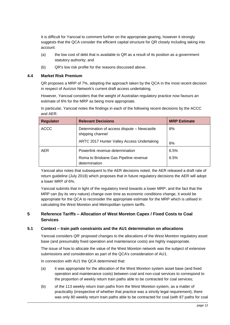It is difficult for Yancoal to comment further on the appropriate gearing, however it strongly suggests that the QCA consider the efficient capital structure for QR closely including taking into account:

- (a) the low cost of debt that is available to QR as a result of its position as a government statutory authority; and
- (b) QR's low risk profile for the reasons discussed above.

## **4.4 Market Risk Premium**

QR proposes a MRP of 7%, adopting the approach taken by the QCA in the most recent decision in respect of Aurizon Network's current draft access undertaking.

However, Yancoal considers that the weight of Australian regulatory practice now favours an estimate of 6% for the MRP as being more appropriate.

In particular, Yancoal notes the findings in each of the following recent decisions by the ACCC and AER:

| <b>Regulator</b> | <b>Relevant Decisions</b>                                       | <b>MRP Estimate</b> |
|------------------|-----------------------------------------------------------------|---------------------|
| <b>ACCC</b>      | Determination of access dispute – Newcastle<br>shipping channel | 6%                  |
|                  | ARTC 2017 Hunter Valley Access Undertaking                      | 6%                  |
| <b>AER</b>       | Powerlink revenue determination                                 | 6.5%                |
|                  | Roma to Brisbane Gas Pipeline revenue<br>determination          | 6.5%                |

Yancoal also notes that subsequent to the AER decisions noted, the AER released a draft rate of return guideline (July 2018) which proposes that in future regulatory decisions the AER will adopt a lower MRP of 6%.

Yancoal submits that in light of the regulatory trend towards a lower MRP, and the fact that the MRP can (by its very nature) change over time as economic conditions change, it would be appropriate for the QCA to reconsider the appropriate estimate for the MRP which is utilised in calculating the West Moreton and Metropolitan system tariffs.

# **5 Reference Tariffs – Allocation of West Moreton Capex / Fixed Costs to Coal Services**

#### **5.1 Context – train path constraints and the AU1 determination on allocations**

Yancoal considers QR' proposed changes to the allocations of the West Moreton regulatory asset base (and presumably fixed operation and maintenance costs) are highly inappropriate.

The issue of how to allocate the value of the West Moreton network was the subject of extensive submissions and consideration as part of the QCA's consideration of AU1.

In connection with AU1 the QCA determined that:

- (a) it was appropriate for the allocation of the West Moreton system asset base (and fixed operation and maintenance costs) between coal and non-coal services to correspond to the proportion of weekly return train paths able to be contracted for coal services;
- (b) of the 113 weekly return train paths from the West Moreton system, as a matter of practicality (irrespective of whether that practice was a strictly legal requirement), there was only 80 weekly return train paths able to be contracted for coal (with 87 paths for coal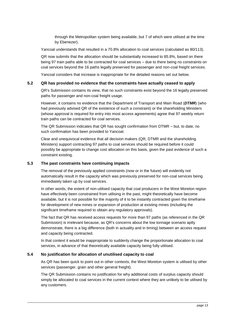through the Metropolitan system being available, but 7 of which were utilised at the time by Ebenezer).

Yancoal understands that resulted in a 70.8% allocation to coal services (calculated as 80/113).

QR now submits that the allocation should be substantially increased to 85.8%, based on there being 97 train paths able to be contracted for coal services – due to there being no constraints on coal services beyond the 16 paths legally preserved for passenger and non-coal freight services.

Yancoal considers that increase is inappropriate for the detailed reasons set out below.

#### **5.2 QR has provided no evidence that the constraints have actually ceased to apply**

QR's Submission contains its view, that no such constraints exist beyond the 16 legally preserved paths for passenger and non-coal freight usage.

However, it contains no evidence that the Department of Transport and Main Road (*DTMR*) (who had previously advised QR of the existence of such a constraint) or the shareholding Ministers (whose approval is required for entry into most access agreements) agree that 97 weekly return train paths can be contracted for coal services.

The QR Submission indicates that QR has sought confirmation from DTMR – but, to date, no such confirmation has been provided to Yancoal.

Clear and unequivocal evidence that all decision makers (QR, DTMR and the shareholding Ministers) support contracting 97 paths to coal services should be required before it could possibly be appropriate to change cost allocation on this basis, given the past evidence of such a constraint existing.

## **5.3 The past constraints have continuing impacts**

The removal of the previously applied constraints (now or in the future) will evidently not automatically result in the capacity which was previously preserved for non-coal services being immediately taken up by coal services.

In other words, the extent of non-utilised capacity that coal producers in the West Moreton region have effectively been constrained from utilising in the past, might theoretically have become available, but it is not possible for the majority of it to be instantly contracted given the timeframe for development of new mines or expansion of production at existing mines (including the significant timeframe required to obtain any regulatory approvals).

The fact that QR has received access requests for more than 97 paths (as referenced in the QR Submission) is irrelevant because, as QR's concerns about the low tonnage scenario aptly demonstrate, there is a big difference (both in actuality and in timing) between an access request and capacity being contracted.

In that context it would be inappropriate to suddenly change the proportionate allocation to coal services, in advance of that theoretically available capacity being fully utilised.

#### **5.4 No justification for allocation of unutilised capacity to coal**

As QR has been quick to point out in other contexts, the West Moreton system is utilised by other services (passenger, grain and other general freight).

The QR Submission contains no justification for why additional costs of surplus capacity should simply be allocated to coal services in the current context where they are unlikely to be utilised by any customers.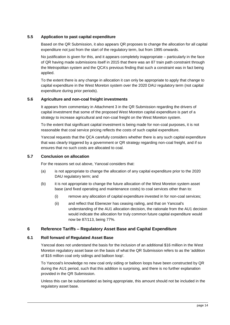# **5.5 Application to past capital expenditure**

Based on the QR Submission, it also appears QR proposes to change the allocation for all capital expenditure not just from the start of the regulatory term, but from 1995 onwards.

No justification is given for this, and it appears completely inappropriate – particularly in the face of QR having made submissions itself in 2015 that there was an 87 train path constraint through the Metropolitan system and the QCA's previous finding that such a constraint was in fact being applied.

To the extent there is any change in allocation it can only be appropriate to apply that change to capital expenditure in the West Moreton system over the 2020 DAU regulatory term (not capital expenditure during prior periods).

# **5.6 Agriculture and non-coal freight investments**

It appears from commentary in Attachment 3 in the QR Submission regarding the drivers of capital investment that some of the proposed West Moreton capital expenditure is part of a strategy to increase agricultural and non-coal freight on the West Moreton system.

To the extent that significant capital investment is being made for non-coal purposes, it is not reasonable that coal service pricing reflects the costs of such capital expenditure.

Yancoal requests that the QCA carefully considers whether there is any such capital expenditure that was clearly triggered by a government or QR strategy regarding non-coal freight, and if so ensures that no such costs are allocated to coal.

# **5.7 Conclusion on allocation**

For the reasons set out above, Yancoal considers that:

- (a) is not appropriate to change the allocation of any capital expenditure prior to the 2020 DAU regulatory term; and
- (b) it is not appropriate to change the future allocation of the West Moreton system asset base (and fixed operating and maintenance costs) to coal services other than to:
	- (i) remove any allocation of capital expenditure invested in for non-coal services;
	- (ii) and reflect that Ebenezer has ceasing railing, and that on Yancoal's understanding of the AU1 allocation decision, the rationale from the AU1 decision would indicate the allocation for truly common future capital expenditure would now be 87/113, being 77%.

# **6 Reference Tariffs – Regulatory Asset Base and Capital Expenditure**

# **6.1 Roll forward of Regulated Asset Base**

Yancoal does not understand the basis for the inclusion of an additional \$16 million in the West Moreton regulatory asset base on the basis of what the QR Submission refers to as the 'addition of \$16 million coal only sidings and balloon loop'.

To Yancoal's knowledge no new coal only siding or balloon loops have been constructed by QR during the AU1 period, such that this addition is surprising, and there is no further explanation provided in the QR Submission.

Unless this can be substantiated as being appropriate, this amount should not be included in the regulatory asset base.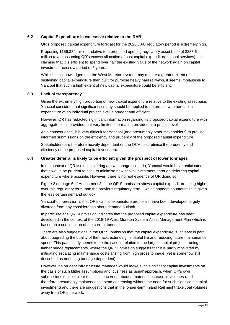# **6.2 Capital Expenditure is excessive relative to the RAB**

QR's proposed capital expenditure forecast for the 2020 DAU regulatory period is extremely high.

Proposing \$159.384 million, relative to a proposed opening regulatory asset base of \$288.6 million (even assuming QR's excess allocation of past capital expenditure to coal services) – is claiming that it is efficient to spend over half the existing value of the network again on capital investment across a period of 5 years.

While it is acknowledged that the West Moreton system may require a greater extent of sustaining capital expenditure than built for purpose heavy haul railways, it seems implausible to Yancoal that such a high extent of new capital expenditure could be efficient.

## **6.3 Lack of transparency**

Given the extremely high proportion of new capital expenditure relative to the existing asset base, Yancoal considers that significant scrutiny should be applied to determine whether capital expenditure at an individual project level is prudent and efficient.

However, QR has redacted significant information regarding its proposed capital expenditure with aggregate costs provided, but very limited information provided at a project level.

As a consequence, it is very difficult for Yancoal (and presumably other stakeholders) to provide informed submissions on the efficiency and prudency of the proposed capital expenditure.

Stakeholders are therefore heavily dependent on the QCA to scrutinise the prudency and efficiency of the proposed capital investment.

## **6.4 Greater deferral is likely to be efficient given the prospect of lower tonnages**

In the context of QR itself considering a low tonnage scenario, Yancoal would have anticipated that it would be prudent to seek to minimise new capital investment, through deferring capital expenditure where possible. However, there is no real evidence of QR doing so.

Figure 2 on page 6 of Attachment 3 in the QR Submission shows capital expenditure being higher over this regulatory term than the previous regulatory term – which appears counterintuitive given the less certain demand outlook.

Yancoal's impression is that QR's capital expenditure proposals have been developed largely divorced from any consideration about demand outlook.

In particular, the QR Submission indicates that the proposed capital expenditure has been developed in the context of the 2018-19 West Moreton System Asset Management Plan which is based on a continuation of the current tonnes.

There are also suggestions in the QR Submission that the capital expenditure is, at least in part, about upgrading the quality of the track, extending its useful life and reducing future maintenance spend. This particularly seems to be the case in relation to the largest capital project – being timber bridge replacements, where the QR Submission suggests that it is partly motivated by mitigating escalating maintenance costs arising from high gross tonnage (yet is somehow still described as not being tonnage dependent).

However, no prudent infrastructure manager would make such significant capital investments on the basis of such blithe assumptions and 'business as usual' approach, when QR's own submissions make it clear that it is concerned about a material decrease in volumes (and therefore presumably maintenance spend decreasing without the need for such significant capital investment) and there are suggestions that in the longer-term Inland Rail might take coal volumes away from QR's network.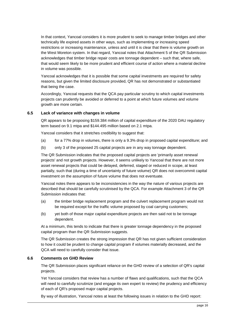In that context, Yancoal considers it is more prudent to seek to manage timber bridges and other technically life expired assets in other ways, such as implementing or increasing speed restrictions or increasing maintenance, unless and until it is clear that there is volume growth on the West Moreton system. In that regard, Yancoal notes that Attachment 5 of the QR Submission acknowledges that timber bridge repair costs are tonnage dependent – such that, where safe, that would seem likely to be more prudent and efficient course of action where a material decline in volume was possible.

Yancoal acknowledges that it is possible that some capital investments are required for safety reasons, but given the limited disclosure provided, QR has not demonstrated or substantiated that being the case.

Accordingly, Yancoal requests that the QCA pay particular scrutiny to which capital investments projects can prudently be avoided or deferred to a point at which future volumes and volume growth are more certain.

## **6.5 Lack of variance with changes in volume**

QR appears to be proposing \$159.384 million of capital expenditure of the 2020 DAU regulatory term based on 9.1 mtpa and \$144.495 million based on 2.1 mtpa.

Yancoal considers that it stretches credibility to suggest that:

- (a) for a 77% drop in volumes, there is only a 9.3% drop in proposed capital expenditure; and
- (b) only 3 of the proposed 25 capital projects are in any way tonnage dependent.

The QR Submission indicates that the proposed capital projects are 'primarily asset renewal projects' and not growth projects. However, it seems unlikely to Yancoal that there are not more asset renewal projects that could be delayed, deferred, staged or reduced in scope, at least partially, such that (during a time of uncertainty of future volume) QR does not overcommit capital investment on the assumption of future volume that does not eventuate.

Yancoal notes there appears to be inconsistencies in the way the nature of various projects are described that should be carefully scrutinised by the QCA. For example Attachment 3 of the QR Submission indicates that:

- (a) the timber bridge replacement program and the culvert replacement program would not be required except for the traffic volume proposed by coal carrying customers;
- (b) yet both of those major capital expenditure projects are then said not to be tonnage dependent.

At a minimum, this tends to indicate that there is greater tonnage dependency in the proposed capital program than the QR Submission suggests.

The QR Submission creates the strong impression that QR has not given sufficient consideration to how it could be prudent to change capital program if volumes materially decreased, and the QCA will need to carefully consider that issue.

#### **6.6 Comments on GHD Review**

The QR Submission places significant reliance on the GHD review of a selection of QR's capital projects.

Yet Yancoal considers that review has a number of flaws and qualifications, such that the QCA will need to carefully scrutinize (and engage its own expert to review) the prudency and efficiency of each of QR's proposed major capital projects.

By way of illustration, Yancoal notes at least the following issues in relation to the GHD report: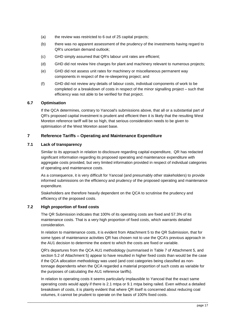- (a) the review was restricted to 6 out of 25 capital projects;
- (b) there was no apparent assessment of the prudency of the investments having regard to QR's uncertain demand outlook;
- (c) GHD simply assumed that QR's labour unit rates are efficient;
- (d) GHD did not review hire charges for plant and machinery relevant to numerous projects;
- (e) GHD did not assess unit rates for machinery or miscellaneous permanent way components in respect of the re-sleepering project; and
- (f) GHD did not review any details of labour costs, individual components of work to be completed or a breakdown of costs in respect of the minor signalling project – such that efficiency was not able to be verified for that project.

# **6.7 Optimisation**

If the QCA determines, contrary to Yancoal's submissions above, that all or a substantial part of QR's proposed capital investment is prudent and efficient then it is likely that the resulting West Moreton reference tariff will be so high, that serious consideration needs to be given to optimisation of the West Moreton asset base.

# <span id="page-16-0"></span>**7 Reference Tariffs – Operating and Maintenance Expenditure**

## **7.1 Lack of transparency**

Similar to its approach in relation to disclosure regarding capital expenditure, QR has redacted significant information regarding its proposed operating and maintenance expenditure with aggregate costs provided, but very limited information provided in respect of individual categories of operating and maintenance costs.

As a consequence, it is very difficult for Yancoal (and presumably other stakeholders) to provide informed submissions on the efficiency and prudency of the proposed operating and maintenance expenditure.

Stakeholders are therefore heavily dependent on the QCA to scrutinise the prudency and efficiency of the proposed costs.

# **7.2 High proportion of fixed costs**

The QR Submission indicates that 100% of its operating costs are fixed and 57.3% of its maintenance costs. That is a very high proportion of fixed costs, which warrants detailed consideration.

In relation to maintenance costs, it is evident from Attachment 5 to the QR Submission, that for some types of maintenance activities QR has chosen not to use the QCA's previous approach in the AU1 decision to determine the extent to which the costs are fixed or variable.

QR's departures from the QCA AU1 methodology (summarised in Table 7 of Attachment 5, and section 5.2 of Attachment 5) appear to have resulted in higher fixed costs than would be the case if the QCA allocation methodology was used (and cost categories being classified as nontonnage dependents when the QCA regarded a material proportion of such costs as variable for the purposes of calculating the AU1 reference tariffs).

In relation to operating costs it seems particularly implausible to Yancoal that the exact same operating costs would apply if there is 2.1 mtpa or 9.1 mtpa being railed. Even without a detailed breakdown of costs, it is plainly evident that where QR itself is concerned about reducing coal volumes, it cannot be prudent to operate on the basis of 100% fixed costs.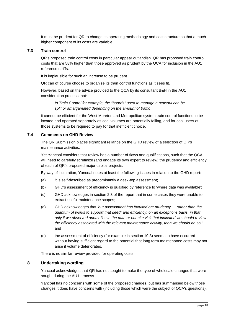It must be prudent for QR to change its operating methodology and cost structure so that a much higher component of its costs are variable.

## **7.3 Train control**

QR's proposed train control costs in particular appear outlandish. QR has proposed train control costs that are 58% higher than those approved as prudent by the QCA for inclusion in the AU1 reference tariffs.

It is implausible for such an increase to be prudent.

QR can of course choose to organise its train control functions as it sees fit.

However, based on the advice provided to the QCA by its consultant B&H in the AU1 consideration process that:

*In Train Control for example, the "boards" used to manage a network can be split or amalgamated depending on the amount of traffic*

it cannot be efficient for the West Moreton and Metropolitan system train control functions to be located and operated separately as coal volumes are potentially falling, and for coal users of those systems to be required to pay for that inefficient choice.

# **7.4 Comments on GHD Review**

The QR Submission places significant reliance on the GHD review of a selection of QR's maintenance activities.

Yet Yancoal considers that review has a number of flaws and qualifications, such that the QCA will need to carefully scrutinize (and engage its own expert to review) the prudency and efficiency of each of QR's proposed major capital projects.

By way of illustration, Yancoal notes at least the following issues in relation to the GHD report:

- (a) it is self-described as predominantly a desk-top assessment;
- (b) GHD's assessment of efficiency is qualified by reference to 'where data was available';
- (c) GHD acknowledges in section 2.3 of the report that in some cases they were unable to extract useful maintenance scopes;
- (d) GHD acknowledges that *'our assessment has focused on: prudency … rather than the quantum of works to support that deed; and efficiency, on an exceptions basis, in that only if we observed anomalies in the data or our site visit that indicated we should review the efficiency associated with the relevant maintenance activity, then we should do so*.'; and
- (e) the assessment of efficiency (for example in section 10.3) seems to have occurred without having sufficient regard to the potential that long term maintenance costs may not arise if volume deteriorates,

There is no similar review provided for operating costs.

#### **8 Undertaking wording**

Yancoal acknowledges that QR has not sought to make the type of wholesale changes that were sought during the AU1 process.

Yancoal has no concerns with some of the proposed changes, but has summarised below those changes it does have concerns with (including those which were the subject of QCA's questions).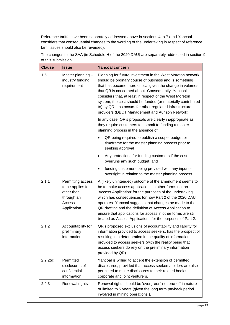Reference tariffs have been separately addressed above in sections [4](#page-4-0) to [7](#page-16-0) (and Yancoal considers that consequential changes to the wording of the undertaking in respect of reference tariff issues should also be reversed).

The changes to the SAA (in Schedule H of the 2020 DAU) are separately addressed in section [9](#page-21-0) of this submission.

| <b>Clause</b> | <b>Issue</b>                                                                                | <b>Yancoal concern</b>                                                                                                                                                                                                                                                                                                                                                                                                                                                                   |
|---------------|---------------------------------------------------------------------------------------------|------------------------------------------------------------------------------------------------------------------------------------------------------------------------------------------------------------------------------------------------------------------------------------------------------------------------------------------------------------------------------------------------------------------------------------------------------------------------------------------|
| 1.5           | Master planning -<br>industry funding<br>requirement                                        | Planning for future investment in the West Moreton network<br>should be ordinary course of business and is something<br>that has become more critical given the change in volumes<br>that QR is concerned about. Consequently, Yancoal<br>considers that, at least in respect of the West Moreton<br>system, the cost should be funded (or materially contributed<br>to) by QR - as occurs for other regulated infrastructure<br>providers (DBCT Management and Aurizon Network).        |
|               |                                                                                             | In any case, QR's proposals are clearly inappropriate as<br>they require customers to commit to funding a master<br>planning process in the absence of:                                                                                                                                                                                                                                                                                                                                  |
|               |                                                                                             | QR being required to publish a scope, budget or<br>timeframe for the master planning process prior to<br>seeking approval                                                                                                                                                                                                                                                                                                                                                                |
|               |                                                                                             | Any protections for funding customers if the cost<br>$\bullet$<br>overruns any such budget; and                                                                                                                                                                                                                                                                                                                                                                                          |
|               |                                                                                             | funding customers being provided with any input or<br>$\bullet$<br>oversight in relation to the master planning process.                                                                                                                                                                                                                                                                                                                                                                 |
| 2.1.1         | Permitting access<br>to be applies for<br>other than<br>through an<br>Access<br>Application | A (likely unintended) outcome of the amendment seems to<br>be to make access applications in other forms not an<br>'Access Application' for the purposes of the undertaking,<br>which has consequences for how Part 2 of the 2020 DAU<br>operates. Yancoal suggests that changes be made to the<br>QR drafting and the definition of Access Application to<br>ensure that applications for access in other forms are still<br>treated as Access Applications for the purposes of Part 2. |
| 2.1.2         | Accountability for<br>preliminary<br>information                                            | QR's proposed exclusions of accountability and liability for<br>information provided to access seekers, has the prospect of<br>resulting in a deterioration in the quality of information<br>provided to access seekers (with the reality being that<br>access seekers do rely on the preliminary information<br>provided by QR).                                                                                                                                                        |
| 2.2.2(d)      | Permitted<br>disclosures of<br>confidential<br>information                                  | Yancoal is willing to accept the extension of permitted<br>disclosures, provided that access seekers/holders are also<br>permitted to make disclosures to their related bodies<br>corporate and joint venturers.                                                                                                                                                                                                                                                                         |
| 2.9.3         | Renewal rights                                                                              | Renewal rights should be 'evergreen' not one-off in nature<br>or limited to 5 years (given the long term payback period<br>involved in mining operations).                                                                                                                                                                                                                                                                                                                               |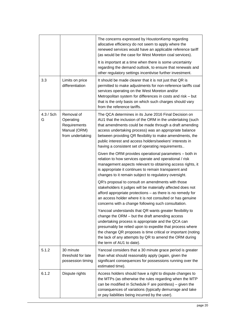|                |                                                                             | The concerns expressed by HoustonKemp regarding<br>allocative efficiency do not seem to apply where the<br>renewed services would have an applicable reference tariff<br>(as would be the case for West Moreton coal services).                                                                                                                                                                                      |
|----------------|-----------------------------------------------------------------------------|----------------------------------------------------------------------------------------------------------------------------------------------------------------------------------------------------------------------------------------------------------------------------------------------------------------------------------------------------------------------------------------------------------------------|
|                |                                                                             | It is important at a time when there is some uncertainty<br>regarding the demand outlook, to ensure that renewals and<br>other regulatory settings incentivise further investment.                                                                                                                                                                                                                                   |
| 3.3            | Limits on price<br>differentiation                                          | It should be made clearer that it is not just that QR is<br>permitted to make adjustments for non-reference tariffs coal<br>services operating on the West Moreton and/or<br>Metropolitan system for differences in costs and risk - but<br>that is the only basis on which such charges should vary<br>from the reference tariffs.                                                                                  |
| 4.3 / Sch<br>G | Removal of<br>Operating<br>Requirements<br>Manual (ORM)<br>from undertaking | The QCA determines in its June 2016 Final Decision on<br>AU1 that the inclusion of the ORM in the undertaking (such<br>that amendments could be made through a draft amending<br>access undertaking process) was an appropriate balance<br>between providing QR flexibility to make amendments, the<br>public interest and access holders/seekers' interests in<br>having a consistent set of operating requirements |
|                |                                                                             | Given the ORM provides operational parameters - both in<br>relation to how services operate and operational / risk<br>management aspects relevant to obtaining access rights, it<br>is appropriate it continues to remain transparent and<br>changes to it remain subject to regulatory oversight.                                                                                                                   |
|                |                                                                             | QR's proposal to consult on amendments with those<br>stakeholders it judges will be materially affected does not<br>afford appropriate protections - as there is no remedy for<br>an access holder where it is not consulted or has genuine<br>concerns with a change following such consultation.                                                                                                                   |
|                |                                                                             | Yancoal understands that QR wants greater flexibility to<br>change the ORM - but the draft amending access<br>undertaking process is appropriate and the QCA can<br>presumably be relied upon to expedite that process where<br>the change QR proposes is time critical or important (noting<br>the lack of any attempts by QR to amend the ORM during<br>the term of AU1 to date).                                  |
| 5.1.2          | 30 minute<br>threshold for late<br>possession timing                        | Yancoal considers that a 30 minute grace period is greater<br>than what should reasonably apply (again, given the<br>significant consequences for possessions running over the<br>estimated time).                                                                                                                                                                                                                   |
| 6.1.2          | Dispute rights                                                              | Access holders should have a right to dispute changes to<br>the MTPs (as otherwise the rules regarding when the MTP<br>can be modified in Schedule F are pointless) – given the<br>consequences of variations (typically demurrage and take<br>or pay liabilities being incurred by the user).                                                                                                                       |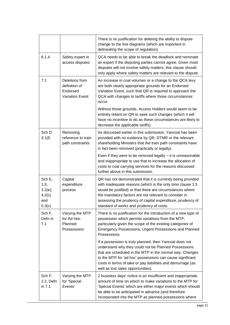|                                                         |                                                                       | There is no justification for deleting the ability to dispute<br>change to the line diagrams (which are important in<br>delineating the scope of regulation).                                                                                                                                                                                             |
|---------------------------------------------------------|-----------------------------------------------------------------------|-----------------------------------------------------------------------------------------------------------------------------------------------------------------------------------------------------------------------------------------------------------------------------------------------------------------------------------------------------------|
| 6.1.4                                                   | Safety expert in<br>access disputes                                   | QCA needs to be able to break the deadlock and nominate<br>an expert if the disputing parties cannot agree. Given most<br>disputes will not involve safety matters, this clause should<br>only apply where safety matters are relevant to the dispute.                                                                                                    |
| 7.1                                                     | Deletions from<br>definition of<br>Endorsed<br><b>Variation Event</b> | An increase in coal volumes or a change to the QCA levy<br>are both clearly appropriate grounds for an Endorsed<br>Variation Event, such that QR is required to approach the<br>QCA with changes to tariffs where those circumstances<br>occur.                                                                                                           |
|                                                         |                                                                       | Without those grounds, Access Holders would seem to be<br>entirely reliant on QR to seek such changes (which it will<br>have no incentive to do as these circumstances are likely to<br>decrease the applicable tariffs).                                                                                                                                 |
| Sch D<br>3.1(f)                                         | Removing<br>reference to train<br>path constraints                    | As discussed earlier in this submission, Yancoal has been<br>provided with no evidence by QR, DTMR or the relevant<br>shareholding Ministers that the train path constraints have<br>in fact been removed (practically or legally).                                                                                                                       |
|                                                         |                                                                       | Even if they were to be removed legally $-$ it is unreasonable<br>and inappropriate to use that to increase the allocation of<br>costs to coal carrying services for the reasons discussed<br>further above in this submission.                                                                                                                           |
| Sch E,<br>1.5,<br>$3.2(e)$ ,<br>4.2(c)<br>and<br>5.3(c) | Capital<br>expenditure<br>process                                     | QR has not demonstrated that it is currently being provided<br>with inadequate reasons (which is the only time clause 1.5<br>would be justified) or that there are circumstances where<br>the mandatory factors are not relevant to consider in<br>assessing the prudency of capital expenditure, prudency of<br>standard of works and prudency of costs. |
| Sch F,<br>Defn in<br>7.1                                | Varying the MTP<br>for Ad Hoc<br>Planned<br>Possessions               | There is no justification for the introduction of a new type of<br>possession which permits variations from the MTP,<br>particularly given the scope of the existing categories of<br><b>Emergency Possessions, Urgent Possessions and Planned</b><br>Possessions.                                                                                        |
|                                                         |                                                                       | If a possession is truly planned, then Yancoal does not<br>understand why they could not be Planned Possessions<br>that are scheduled in the MTP in the normal way. Changes<br>to the MTP for 'ad hoc' possessions can cause significant<br>costs in terms of take or pay liabilities and demurrage (as<br>well as lost sales opportunities).             |
| Sch F,<br>2.2, Defn<br>in 7.1                           | Varying the MTP<br>for 'Special<br>Events'                            | 2 business days' notice is an insufficient and inappropriate<br>amount of time on which to make variations to the MTP for<br>'Special Events' which are either major events which should<br>be able to be anticipated in advance (and therefore<br>incorporated into the MTP as planned possessions where                                                 |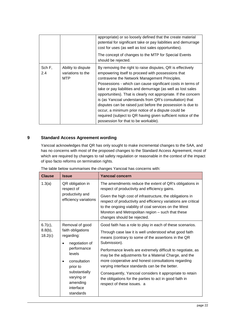|               |                                                | appropriate) or so loosely defined that the create material<br>potential for significant take or pay liabilities and demurrage<br>cost for uses (as well as lost sales opportunities).                                                                                                                                                                                                                                                                                                                                                                                                                                                                        |
|---------------|------------------------------------------------|---------------------------------------------------------------------------------------------------------------------------------------------------------------------------------------------------------------------------------------------------------------------------------------------------------------------------------------------------------------------------------------------------------------------------------------------------------------------------------------------------------------------------------------------------------------------------------------------------------------------------------------------------------------|
|               |                                                | The concept of changes to the MTP for Special Events<br>should be rejected.                                                                                                                                                                                                                                                                                                                                                                                                                                                                                                                                                                                   |
| Sch F,<br>2.4 | Ability to dispute<br>variations to the<br>MTP | By removing the right to raise disputes, QR is effectively<br>empowering itself to proceed with possessions that<br>contravene the Network Management Principles.<br>Possessions - which can cause significant costs in terms of<br>take or pay liabilities and demurrage (as well as lost sales<br>opportunities). That is clearly not appropriate. If the concern<br>is (as Yancoal understands from QR's consultation) that<br>disputes can be raised just before the possession is due to<br>occur, a minimum prior notice of a dispute could be<br>required (subject to QR having given sufficient notice of the<br>possession for that to be workable). |

# <span id="page-21-0"></span>**9 Standard Access Agreement wording**

Yancoal acknowledges that QR has only sought to make incremental changes to the SAA, and has no concerns with most of the proposed changes to the Standard Access Agreement, most of which are required by changes to rail safety regulation or reasonable in the context of the impact of ipso facto reforms on termination rights.

| <b>Clause</b>                                                                                                                            | <b>Issue</b>                                                                                                                                                                                                                                                             | <b>Yancoal concern</b>                                                                                        |
|------------------------------------------------------------------------------------------------------------------------------------------|--------------------------------------------------------------------------------------------------------------------------------------------------------------------------------------------------------------------------------------------------------------------------|---------------------------------------------------------------------------------------------------------------|
| 1.3(a)                                                                                                                                   | QR obligation in<br>respect of                                                                                                                                                                                                                                           | The amendments reduce the extent of QR's obligations in<br>respect of productivity and efficiency gains.      |
| productivity and<br>efficiency variations                                                                                                | Given the high cost of infrastructure, the obligations in<br>respect of productivity and efficiency variations are critical<br>to the ongoing viability of coal services on the West<br>Moreton and Metropolitan region - such that these<br>changes should be rejected. |                                                                                                               |
| $6.7(c)$ ,                                                                                                                               | Removal of good                                                                                                                                                                                                                                                          | Good faith has a role to play in each of these scenarios.                                                     |
| $8.8(b)$ ,<br>18.2(c)                                                                                                                    | faith obligations<br>regarding:                                                                                                                                                                                                                                          | Through case law it is well understood what good faith<br>means (contrary to some of the assertions in the QR |
| negotiation of<br>performance<br>levels<br>consultation<br>prior to<br>substantially<br>varying or<br>amending<br>interface<br>standards | Submission).<br>Performance levels are extremely difficult to negotiate, as<br>may be the adjustments for a Material Charge, and the<br>more cooperative and honest consultations regarding<br>varying interface standards can be the better.                            |                                                                                                               |
|                                                                                                                                          | Consequently, Yancoal considers it appropriate to retain<br>the obligations for the parties to act in good faith in<br>respect of these issues. a                                                                                                                        |                                                                                                               |

The table below summarises the changes Yancoal has concerns with: